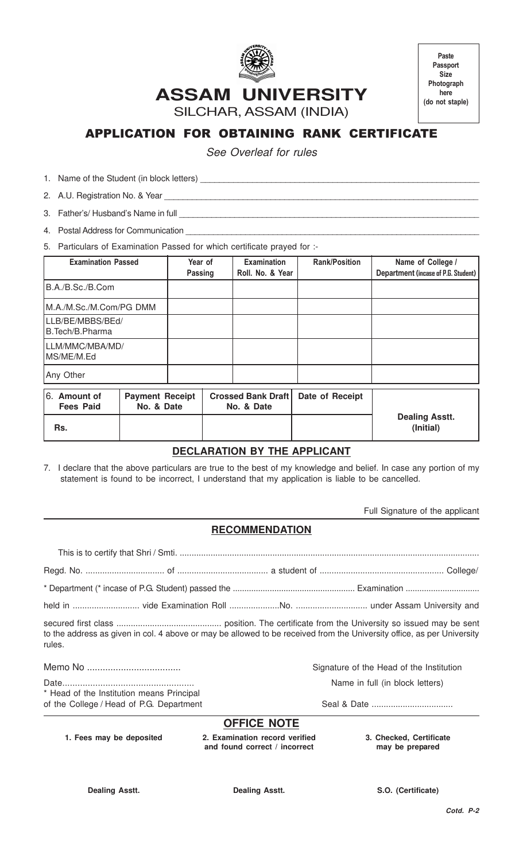

**Paste Passport Size Photograph here (do not staple)**

**ASSAM UNIVERSITY**

SILCHAR, ASSAM (INDIA)

# APPLICATION FOR OBTAINING RANK CERTIFICATE

See Overleaf for rules

1. Name of the Student (in block letters) \_\_\_\_\_\_\_\_\_\_\_\_\_\_\_\_\_\_\_\_\_\_\_\_\_\_\_\_\_\_\_\_\_\_\_\_\_\_\_\_\_\_\_\_\_\_\_\_\_\_\_\_\_\_\_\_\_\_\_

2. A.U. Registration No. & Year

3. Father's/ Husband's Name in full

4. Postal Address for Communication

5. Particulars of Examination Passed for which certificate prayed for :-

| <b>Examination Passed</b>            |                                      | Year of<br>Passing |  | Examination<br>Roll. No. & Year         | <b>Rank/Position</b> | Name of College /<br>Department (incase of P.G. Student) |
|--------------------------------------|--------------------------------------|--------------------|--|-----------------------------------------|----------------------|----------------------------------------------------------|
| B.A./B.Sc./B.Com                     |                                      |                    |  |                                         |                      |                                                          |
| M.A./M.Sc./M.Com/PG DMM              |                                      |                    |  |                                         |                      |                                                          |
| LLB/BE/MBBS/BEd/<br>IB.Tech/B.Pharma |                                      |                    |  |                                         |                      |                                                          |
| LLM/MMC/MBA/MD/<br>MS/ME/M.Ed        |                                      |                    |  |                                         |                      |                                                          |
| Any Other                            |                                      |                    |  |                                         |                      |                                                          |
| 6. Amount of<br><b>Fees Paid</b>     | <b>Payment Receipt</b><br>No. & Date |                    |  | <b>Crossed Bank Draft</b><br>No. & Date | Date of Receipt      | <b>Dealing Asstt.</b>                                    |

# **Rs. (Initial)**

### **DECLARATION BY THE APPLICANT**

7. I declare that the above particulars are true to the best of my knowledge and belief. In case any portion of my statement is found to be incorrect, I understand that my application is liable to be cancelled.

Full Signature of the applicant

## **RECOMMENDATION**

This is to certify that Shri / Smti. .............................................................................................................................. Regd. No. ................................. of ...................................... a student of .................................................... College/

\* Department (\* incase of P.G. Student) passed the ..................................................... Examination ................................ held in ............................ vide Examination Roll .....................No. .............................. under Assam University and

secured first class ............................................ position. The certificate from the University so issued may be sent to the address as given in col. 4 above or may be allowed to be received from the University office, as per University rules.

\* Head of the Institution means Principal

Memo No .................................... Signature of the Head of the Institution

Date.................................................... Name in full (in block letters)

of the College / Head of P.G. Department Seal & Date ..................................

#### **OFFICE NOTE**

**1. Fees may be deposited 2. Examination record verified 3. Checked, Certificate and found correct / incorrect may be prepared**

**Dealing Asstt. Dealing Asstt. S.O. (Certificate)**